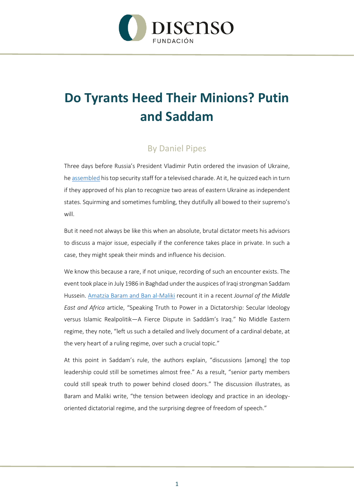

## **Do Tyrants Heed Their Minions? Putin and Saddam**

## By Daniel Pipes

Three days before Russia's President Vladimir Putin ordered the invasion of Ukraine, he [assembled](https://www.theguardian.com/world/2022/feb/21/putin-angry-spectacle-amounts-to-declaration-war-ukraine) his top security staff for a televised charade. At it, he quizzed each in turn if they approved of his plan to recognize two areas of eastern Ukraine as independent states. Squirming and sometimes fumbling, they dutifully all bowed to their supremo's will.

But it need not always be like this when an absolute, brutal dictator meets his advisors to discuss a major issue, especially if the conference takes place in private. In such a case, they might speak their minds and influence his decision.

We know this because a rare, if not unique, recording of such an encounter exists. The event took place in July 1986 in Baghdad under the auspices of Iraqi strongman Saddam Hussein. [Amatzia Baram and Ban al-Maliki](https://www.tandfonline.com/doi/full/10.1080/21520844.2022.2047366) recount it in a recent *Journal of the Middle East and Africa* article, "Speaking Truth to Power in a Dictatorship: Secular Ideology versus Islamic Realpolitik—A Fierce Dispute in Saddām's Iraq." No Middle Eastern regime, they note, "left us such a detailed and lively document of a cardinal debate, at the very heart of a ruling regime, over such a crucial topic."

At this point in Saddam's rule, the authors explain, "discussions [among] the top leadership could still be sometimes almost free." As a result, "senior party members could still speak truth to power behind closed doors." The discussion illustrates, as Baram and Maliki write, "the tension between ideology and practice in an ideologyoriented dictatorial regime, and the surprising degree of freedom of speech."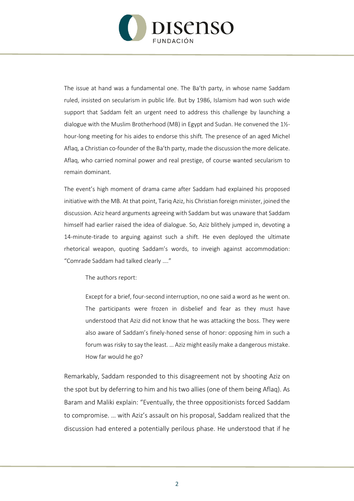

The issue at hand was a fundamental one. The Ba'th party, in whose name Saddam ruled, insisted on secularism in public life. But by 1986, Islamism had won such wide support that Saddam felt an urgent need to address this challenge by launching a dialogue with the Muslim Brotherhood (MB) in Egypt and Sudan. He convened the 1½ hour-long meeting for his aides to endorse this shift. The presence of an aged Michel Aflaq, a Christian co-founder of the Ba'th party, made the discussion the more delicate. Aflaq, who carried nominal power and real prestige, of course wanted secularism to remain dominant.

The event's high moment of drama came after Saddam had explained his proposed initiative with the MB. At that point, Tariq Aziz, his Christian foreign minister, joined the discussion. Aziz heard arguments agreeing with Saddam but was unaware that Saddam himself had earlier raised the idea of dialogue. So, Aziz blithely jumped in, devoting a 14-minute-tirade to arguing against such a shift. He even deployed the ultimate rhetorical weapon, quoting Saddam's words, to inveigh against accommodation: "Comrade Saddam had talked clearly …."

The authors report:

Except for a brief, four-second interruption, no one said a word as he went on. The participants were frozen in disbelief and fear as they must have understood that Aziz did not know that he was attacking the boss. They were also aware of Saddam's finely-honed sense of honor: opposing him in such a forum was risky to say the least. … Aziz might easily make a dangerous mistake. How far would he go?

Remarkably, Saddam responded to this disagreement not by shooting Aziz on the spot but by deferring to him and his two allies (one of them being Aflaq). As Baram and Maliki explain: "Eventually, the three oppositionists forced Saddam to compromise. … with Aziz's assault on his proposal, Saddam realized that the discussion had entered a potentially perilous phase. He understood that if he